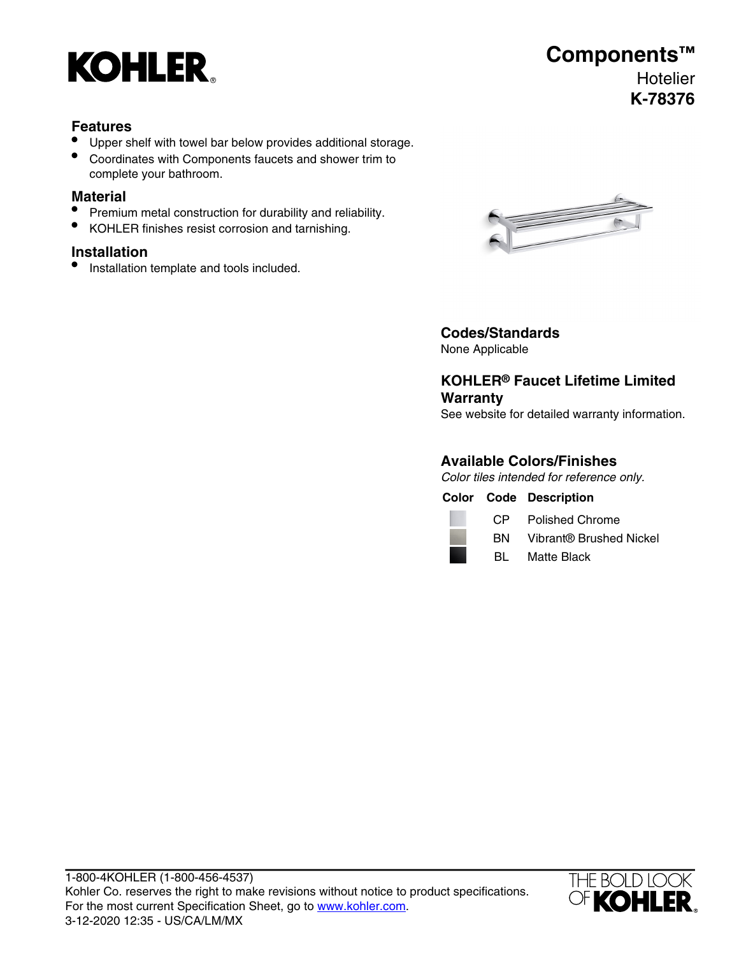

## **Components™ Hotelier K-78376**

#### **Features**

- Upper shelf with towel bar below provides additional storage.
- Coordinates with Components faucets and shower trim to complete your bathroom.

#### **Material**

- Premium metal construction for durability and reliability.
- KOHLER finishes resist corrosion and tarnishing.

#### **Installation**

**•** Installation template and tools included.



### **Codes/Standards**

None Applicable

### **KOHLER® Faucet Lifetime Limited Warranty**

See website for detailed warranty information.

#### **Available Colors/Finishes**

Color tiles intended for reference only.

|  | <b>Color Code Description</b> |
|--|-------------------------------|
|  |                               |

| СP | Poli |
|----|------|
| RN | Vihr |

shed Chrome

- BN Vibrant® Brushed Nickel
- BL Matte Black